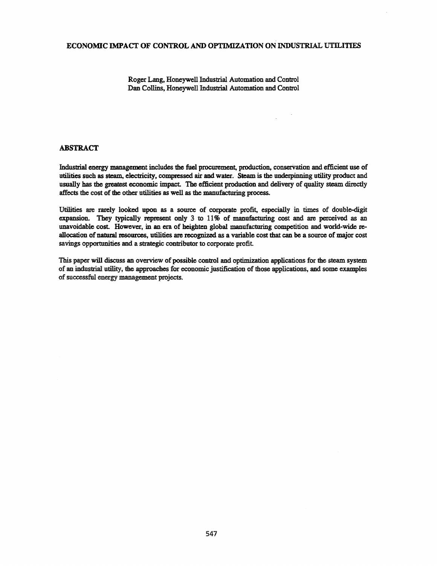## ECONOMIC IMPACT OF CONTROL AND OPTIMIZATION ON INDUSTRIAL UTILITIES

Roger Lang, Honeywell Industrial Automation and Control Dan Collins, Honeywell Industrial Automation and Control

# ABSTRACT

Industrial energy management includes the fuel procurement, production, conservation and efficient use of utilities such as steam. electricity, compressed air and water. Steam is the underpinning utility product and usually bas the greatest economic impact. The efficient production and delivery of quality steam directly affects the cost of the other utilities as well as the manufacturing process.

Utilities are rarely looked upon as a source of corporate profit, especially in times of double-digit expansion. They typically represent omy 3 to 11% of manufacturing cost and are perceived as an unavoidable cost. However, in an era of heighten global manufacturing competition and world-wide reallocation of natural resources, utilities are recognized as a variable cost that can be a source ofmajor cost savings opportunities and a strategic contributor to corporate profit.

This paper will discuss an overview of possible control and optimization applications for the steam system of an industrial utility, the approaches for economic justification of those applications, and some examples of successful energy management projects.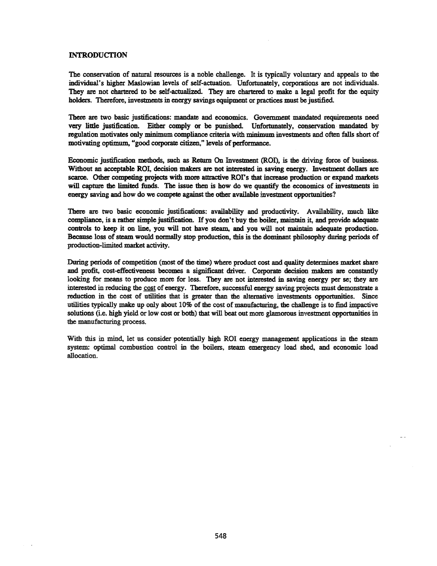## INTRODUCTION

The conservation of natural resources is a noble challenge. It is typically voluntary and appeals to the individual's higher Maslowian levels of self-actuation. Unfortunately, corporations are not individuals. They are not chartered to be self-actualized. They are chartered to make a legal profit for the equity holders. Therefore, investments in energy savings equipment or practices must be justified.

There are two basic justifications: mandate and economics. Government mandated requirements need very little justification. Either comply or be punished. Unfortunately, conservation· mandated by regulation motivates only minimum compliance criteria with minimum investments and often falls short of motivating optimum, "good corporate citizen," levels of performance.

Economic justification methods, such as Return On Investment (ROI), is the driving force of business. Without an acceptable ROI, decision makers are not interested in saving energy. Investment dollars are scarce. Other competing projects with more attractive ROI's that increase production or expand markets will capture the limited funds. The issue then is how do we quantify the economics of investments in energy saving and how do we compete against the other available investment opportunities?

There are two basic economic justifications: availability and productivity. Availability, much like compliance, is a rather simple justification. If you don't buy the boiler, maintain it, and provide adequate controls to keep it on line, you will not have steam, and you will not maintain adequate production. Because loss of steam would normally stop production, this is the dominant philosophy during periods of production-limited market activity.

During periods of competition (most of the time) where product cost and quality determines market share and profit, cost-effectiveness becomes a significant driver. Corporate decision makers are constantly looking for means to produce more for less. They are not interested in saving energy per se; they are interested in reducing the cost of energy. Therefore, successful energy saving projects must demonstrate a reduction in the cost of utilities that is greater than the alternative investments opportunities. Since utilities typically make up only about 10% of the cost of manufacturing, the challenge is to find impactive solutions (i.e. high yield or low cost or both) that will beat out more glamorous investment opportunities in the manufacturing process.

With this in mind, let us consider potentially high ROI energy management applications in the steam system: optimal combustion control in the boilers, steam emergency load shed, and economic load allocation.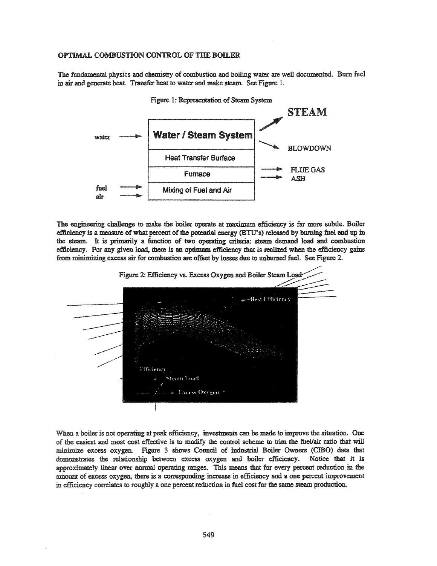## OPTIMAL COMBUSTION CONTROL OF THE BOILER

The fundamental physics and chemistry of combustion and boiling water are well documented. Burn fuel in air and generate beat. Transfer beat to water and make steam. See Figure 1.



The engineering challenge to make the boiler operate at maximum efficiency is far more subtle. Boiler efficiency is a measure of what percent of the potential energy (BTU's) released by burning fuel end up in the steam. It is primarily a function of two operating criteria: steam demand load and combustion efficiency. For any given load, there is an optimum efficiency that is realized when the efficiency gains from minimizing excess air for combustion are offset by losses due to unburned fuel. See Figure 2.



When a boiler is not operating at peak efficiency, investments can be made to improve the situation. One of the easiest and most cost effective is to modify the control scheme to trim the fuellair ratio that will :minimize excess oxygen. Figure 3 shows Council of Industrial Boiler Owners (CIBO) data that demonstrates the relationship between excess oxygen and boiler efficiency. Notice that it is approximately linear over normal operating ranges. This means that for every percent reduction in the amount of excess oxygen, there is a corresponding increase in efficiency and a one percent improvement in efficiency correlates to roughly a one percent reduction in fuel cost for the same steam production.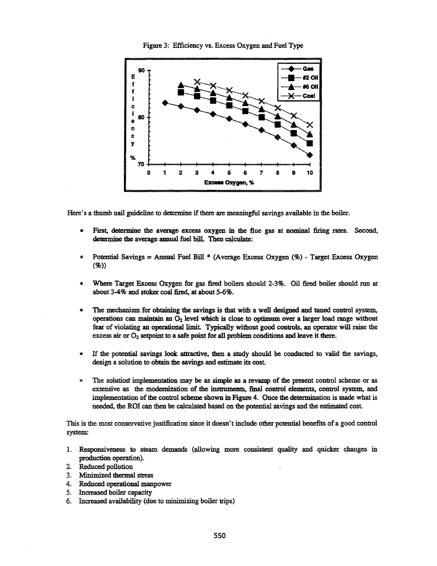

Figure 3: Efficiency vs. Excess Oxygen and Fuel Type

Here's a thumb nail guideline to determine if there are meaningful savings available in the boiler.

- First, determine the average excess oxygen in the flue gas at nominal firing rates. Second, determine the average annual fuel bill. Then calculate:
- $\bullet$ Potential Savings = Annual Fuel Bill \* (Average Excess Oxygen (%) - Target Excess Oxygen  $(\%)$
- Where Target Excess Oxygen for gas fired boilers should 2-3%. Oil fired boiler should run at about 3-4% and stoker coal fired, at about 5-6%.
- $\bullet$ The mechanism for obtaining the savings is that with a well designed and tuned control system, operations can maintain an  $O_2$  level which is close to optimum over a larger load range without fear of violating an operational limit. Typically without good controls, an operator will raise the excess air or  $O_2$  setpoint to a safe point for all problem conditions and leave it there.
- If the potential savings look attractive, then a study should be conducted to valid the savings,  $\bullet$ design a solution to obtain the savings and estimate its cost.
- ۲ The solution implementation may be as simple as a revamp of the present control scheme or as extensive as the modernization of the instruments, final control elements, control system, and implementation of the control scheme shown in Figure 4. Once the determination is made what is needed, the ROI can then be calculated based on the potential savings and the estimated cost.

This is the most conservative justification since it doesn't include other potential benefits of a good control system:

- 1. Responsiveness to steam demands (allowing more consistent quality and quicker changes in production operation).
- 2. Reduced pollution
- 3. Minimized thermal stress
- 4. Reduced operational manpower
- 5. Increased boiler capacity
- 6. Increased availability (due to minimizing boiler trips)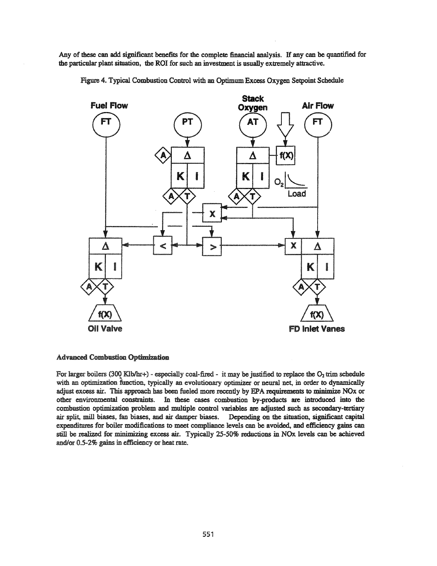Any of these can add significant benefits for the complete financial analysis. If any can be quantified for the particular plant situation, the ROI for such an investment is usually extremely attractive.

Figure 4. Typical Combustion Control with an OptimumExcess Oxygen Setpoint Schedule



## **Advanced Combustion Optimization**

For larger boilers (300 Klb/hr+) - especially coal-fired - it may be justified to replace the O<sub>2</sub> trim schedule with an optimization function. typically an evolutionary optimizer or neural net, in order to dynamically adjust excess air. This approach has been fueled more recently by EPA requirements to minimize NOx or other environmental constraints. In these cases combustion by-products are introduced into the combustion optimization problem and multiple control variables are adjusted such as secondary-tertiary air split, mill biases, fan biases, and air damper biases. Depending on the situation, significant capital expenditures for boiler modifications to meet compliance levels can be avoided, and efficiency gains can still be realized for minimizing excess air. Typically 25-50% reductions in NOx levels can be achieved and/or 0.5-2% gains in efficiency or heat rate.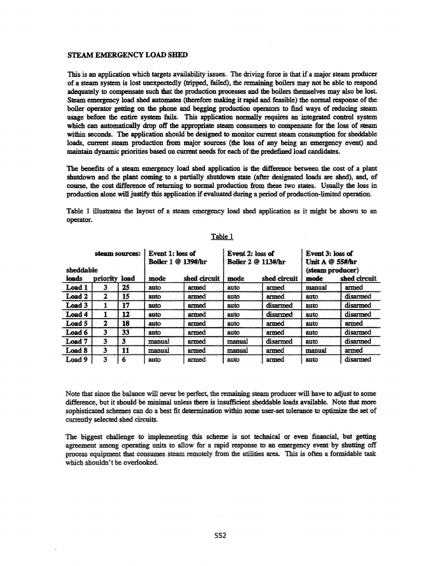## STEAM EMERGENCY LOAD SHED

This is an application which targets availability issues. The driving force is that if a major steam producer of a steam system is lost unexpectedly (tripped, failed), !he remaining boilers may not be able to respond adequately to compensate such that the production processes and the boilers themselves may also be lost. Steam emergencY load shed antomates (therefore making it rapid and feasible) the normal response of the boiler operator getting on the phone and begging production operators to find ways of reducing steam usage before the entire system fails. This application normally requires an integrated control system which can automatically drop off the appropriate steam consumers to compensate for the loss of steam within seconds. The application should be designed to monitor current steam consumption for sheddable loads, current steam production from major sources (the loss of any being an emergency event) and maintain dynamic priorities based on current needs for each of the predefined load candidates.

The benefits of a steam emergency load shed application is the difference between the cost of a plant shutdown and the plant coming to a partially shutdown state (after designated loads are shed), and, of course, the cost difference of returning to normal production from these two states. Usually the loss in production alone will justify this application if evaluated during a period of production-limited operation.

Table 1 illustrates the layout of a steam emergency load shed application as it might be shown to an operator.

| steam sources: |          |      | Event 1: loss of<br><b>Boiler 1 @ 139#/hr</b> |              | Event 2: loss of<br><b>Boiler 2 @ 113#/hr</b> |              | <b>Event 3: loss of</b><br>Unit A @ 55#/hr |              |
|----------------|----------|------|-----------------------------------------------|--------------|-----------------------------------------------|--------------|--------------------------------------------|--------------|
| sheddable      |          |      |                                               |              |                                               |              | (steam producer)                           |              |
| loads          | ditority | load | mode                                          | shed circuit | mode                                          | shed circuit | mode                                       | shed circuit |
| Load 1         | 3        | 25   | auto                                          | armed        | auto                                          | armed        | manual                                     | armed        |
| Load 2         | 2        | 15   | auto                                          | armed        | auto                                          | armed        | auto                                       | disarmed     |
| Load 3         |          | 17   | auto                                          | armed        | auto                                          | disarmed     | auto                                       | disarmed     |
| Load 4         |          | 12   | auto                                          | armed        | auto                                          | disarmed     | auto                                       | disarmed     |
| Load 5         | 2        | 18   | auto                                          | armed        | auto                                          | armed        | auto                                       | armed        |
| Load 6         | 3        | 33   | auto                                          | armed        | auto                                          | armed        | auto                                       | disarmed     |
| Load 7         | 3        | 3    | manual                                        | armed        | manual                                        | disarmed     | auto                                       | disarmed     |
| Load 8         | 3        | 11   | manual                                        | armed        | manual                                        | armed        | manual                                     | armed        |
| Load 9         | 3        | 6    | auto                                          | armed        | auto                                          | armed        | anto                                       | disarmed     |

# Table 1

Note that since the balance will never be perfect, the remaining steam producer will have to adjust to some difference, but it should be minimal unless there is insufficient sheddable loads available. Note that more sophisticated schemes can do a best fit determination within some user-set tolerance to optimize the set of currently selected shed circuits.

The biggest challenge to implementing this scheme is not technical or even financial, but getting agreement among operating units to allow for a rapid response to an emergency event by shutting off process equipment that consumes steam remotely from the utilities area. This is often a formidable task which shouldn't be overlooked.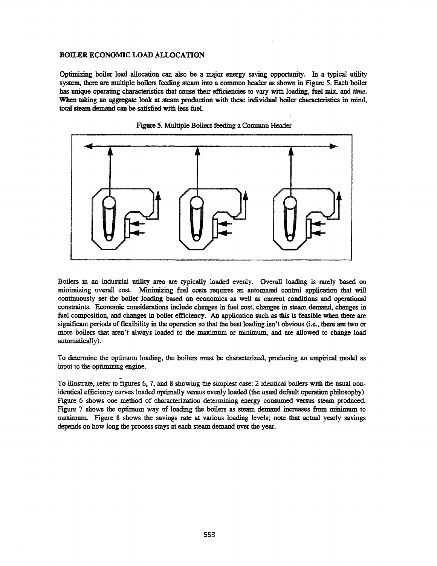## BOILER ECONOMIC LOAD ALLOCATION

Optimizing boiler load allocation can also be a major energy saving opportnnity. In a typical utility system, there are multiple boilers feeding steam into a common header as shown in Figure 5. Each boiler has unique operating characteristics that cause their efficiencies to vary with loading, fuel mix, and time. When taking an aggregate look at steam production with these individual boiler characteristics in mind, total steam demand can be satisfied with less fuel.





Boilers in an industrial utility area are typically loaded evenly. Overall loading is rarely based on minimizing overall cost. Minimizing fuel costs requires an automated control application that will continuously set the boiler loading based on economics as well as current conditions and operational constraints. Economic considerations include changes in fuel cost. changes in steam demand, changes in fuel composition, and changes in boiler efficiency. An application such as this is feasible when there are significant periods of flexibility in the operation so that the best loading isn't obvious (i.e., there are two or more boilers that men't always loaded to the maximum or minimum. and are allowed to change load automatically).

To determine the optimum loading, the boilers must be characterized, producing an empirical model as input to the optimizing engine.

To illustrate, refer to figures 6, 7, and 8 showing the simplest case: 2 identical boilers with the usual nonidentical efficiency curves loaded optimally versus evenly loaded (the usual default operation philosophy). Figure 6 shows one method of characterization determining energy consumed versus steam produced. Figure 7 shows the optimum way of loading the boilers as steam demand increases from minimum to maximum. Figure 8 shows the savings rate at various loading levels; note that actual yearly savings depends on how long the process stays at each steam demand over the year.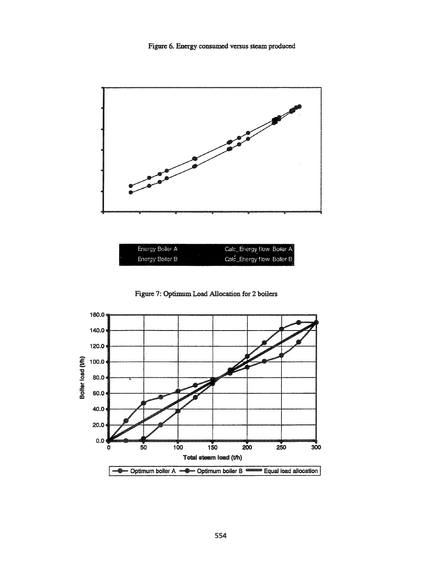Figure 6. Energy consumed versus steam produced





Figure 7: Optimum Load Allocation for 2 boilers

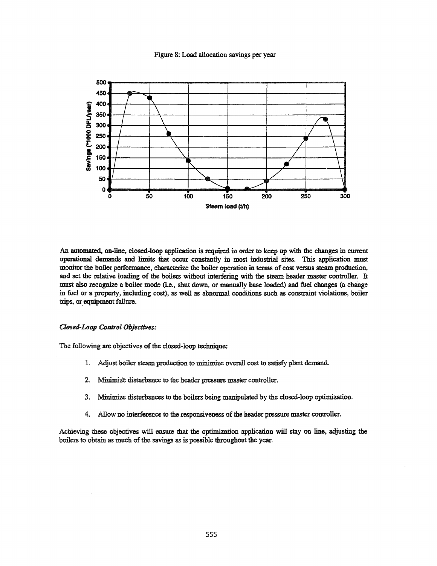#### Figure 8: Load allocation savings per year



An automated, on-line, closed-loop application is required in order to keep up with the changes in current operational demands and limits that occur constantly in most industrial sites. This application must monitor the boiler performance, characterize the boiler operation in terms of cost versus steam production, and set the relative loading of the boilers without interfering with the steam header master controller. It must also recognize a boiler mode (Le., shut down, or manually base loaded) and fuel changes (a change in fuel or a property, including cost), as well as abnormal conditions such as constraint violations, boiler trips, or equipment failure.

## Closed-Loop Control Objectives:

The following are objectives of the closed-loop technique:

- 1. Adjust boiler steam production to minimize overall cost to satisfy plant demand
- 2. Minimize disturbance to the header pressure master controller.
- 3. Minimize disturbances to the boilers being manipulated by the closed-loop optimization.
- 4. Allow no interference to the responsiveness of the header pressure master controller.

Achieving these objectives will ensure that the optimization application will stay on line, adjusting the boilers to obtain as much of the savings as is possible throughout the year.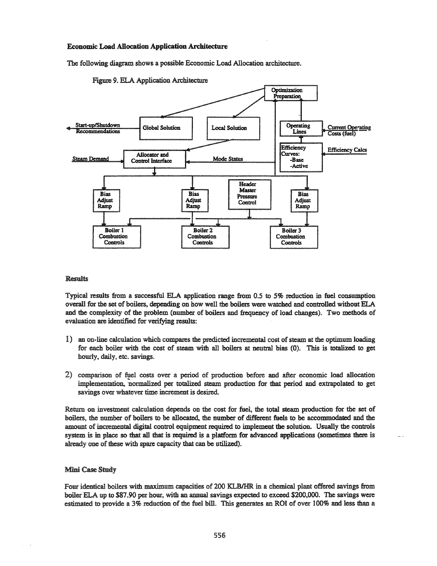#### **Economic Load Allocation Application Architecture**

The following diagram shows a possible Economic Load Allocation architecture.





### **Results**

Typical results from a successful ELA application range from 0.5 to 5% reduction in fuel consumption overall for the set of boilers, depending on how well the boilers were watched and controlled without ELA and the complexity of the problem (number of boilers and frequency of load changes). Two methods of evaluation are identified for verifying results:

- 1) an on-line calculation which compares the predicted incremental cost ofsteam at the optimum loading for each boiler with the cost of steam with all boilers at neutral bias (0). This is totalized to get hourly, daily, etc. savings.
- 2) comparison of fuel costs over a period of production before and after economic load allocation implementation, normalized per totalized steam production for that period and extrapolated to get savings over whatever time increment is desired.

Return on investment calculation depends on the cost for fuel, the total steam production for the set of boilers, the number of boilers to be allocated, the number of different fuels to be accommodated and the amount of incremental digital control equipment required to implement the solution. Usually the controls system is in place so that all that is required is a platform for advanced applications (sometimes there is already one of these with spare capacity that can be utilized).

#### Mini Case Study

Four identical boilers with maximum capacities of 200 KLBIHR in a chemical plant offered savings from boiler ELA up to \$87.90 per hour, with an annual savings expected to exceed \$200,000. The savings were estimated to provide a 3% reduction of the fuel bill. This generates an ROI of over 100% and less than a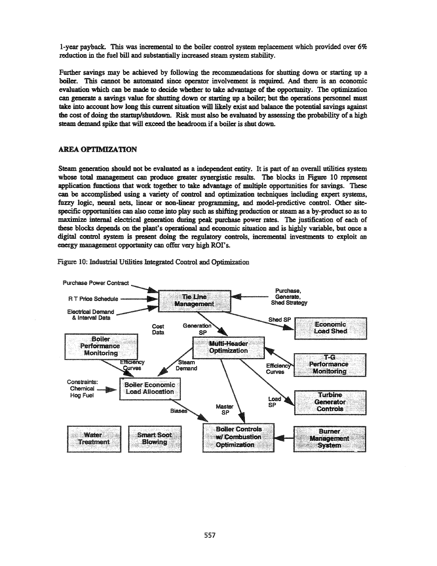I-year payback. This was incremental to the boiler control system replacement which provided over 6% reduction in the fuel bill and substantially increased steam system stability.

Further savings may be achieved by following the recommendations for shutting down or starting up a boiler. This cannot be automated since operator involvement is required. And there is an economic evaluation which can be made to decide whether to take advantage of the opportunity. The optimization can generate a savings value for shutting down or starting up a boiler; but the operations personnel must take into account how long this current situation will likely exist and balance the potential savings against the cost of doing the startup/shutdown. Risk must also be evaluated by assessing the probability of a high steam demand spike that will exceed the headroom if a boiler is shut down.

# **AREA OPTIMIZATION**

Steam generation should not be evaluated as a independent entity. It is part of an overall utilities system whose total management can produce greater synergistic results. The blocks in Figure 10 represent application functions that work together to take advantage of multiple opportunities for savings. These can be accomplished using a variety of control and optimization techniques including expert systems, fuzzy logic, neural nets, linear or non-linear programming, and model-predictive control. Other sitespecific opportunities can also come into play such as shifting production or steam as a by-product so as to maximize internal electrical generation during peak purchase power rates. The justification of each of these blocks depends on the plant's operational and economic situation and is highly variable, but once a digital control system is present doing the regulatory controls, incremental investments to exploit an energy management opportunity can offer very high ROI's.